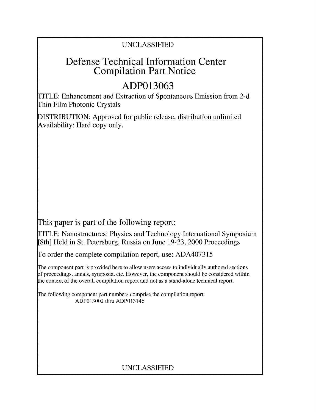## UNCLASSIFIED

## Defense Technical Information Center Compilation Part Notice

# **ADP013063**

TITLE: Enhancement and Extraction of Spontaneous Emission from 2-d Thin Film Photonic Crystals

DISTRIBUTION: Approved for public release, distribution unlimited Availability: Hard copy only.

This paper is part of the following report:

TITLE: Nanostructures: Physics and Technology International Symposium [8th] Held in St. Petersburg, Russia on June 19-23, 2000 Proceedings

To order the complete compilation report, use: ADA407315

The component part is provided here to allow users access to individually authored sections f proceedings, annals, symposia, etc. However, the component should be considered within the context of the overall compilation report and not as a stand-alone technical report.

The following component part numbers comprise the compilation report: ADP013002 thru ADP013146

## UNCLASSIFIED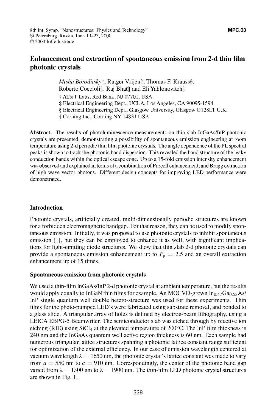### Enhancement and extraction of spontaneous emission from **2-d** thin film photonic crystals

*Misha Boroditsky†*, Rutger Vrijen‡, Thomas F. Krauss§, Roberto Coccioli‡, Raj Bhat¶ and Eli Yablonovitch‡ **T** AT&T Labs, Red Bank, NJ 07701, USA  $\ddagger$  Electrical Engineering Dept., UCLA, Los Angeles, CA 90095-1594 § Electrical Engineering Dept., Glasgow University, Glasgow G I28LT U.K. **9[** Corning Inc., Corning NY 14831 USA

Abstract. The results of photoluminescence measurements on thin slab InGaAs/InP photonic crystals are presented, demonstrating a possibility of spontaneous emission engineering at room temperature using 2-d periodic thin film photonic crystals. The angle dependence of the PL spectral peaks is shown to track the photonic band dispersion. This revealed the band structure of the leaky conduction bands within the optical escape cone. Up to a 15-fold emission intensity enhancement was observed and explained in terms of a combination of Purcell enhancement, and Bragg extraction of high wave vector photons. Different design concepts for improving LED performance were demonstrated.

#### Introduction

Photonic crystals, artificially created, multi-dimensionally periodic structures are known for a forbidden electromagnetic bandgap. For that reason, they can be used to modify spontaneous emission. Initially, it was proposed to use photonic crystals to inhibit spontaneous emission [1], but they can be employed to enhance it as well, with significant implications for light-emitting diode structures. We show that thin slab 2-d photonic crystals can provide a spontaneous emission enhancement up to  $F<sub>p</sub> = 2.5$  and an overall extraction enhancement up of 15 times.

#### Spontaneous emission from photonic crystals

We used a thin-film InGaAs/InP 2-d photonic crystal at ambient temperature, but the results would apply equally to InGaN thin films for example. An MOCVD-grown  $In_{0.47}Ga_{0.53}As/$ InP single quantum well double hetero-structure was used for these experiments. Thin films for the photo-pumped LED's were fabricated using substrate removal, and bonded to a glass slide. A triangular array of holes is defined by electron-beam lithography, using a LEICA EBPG-5 Beamwriter. The semiconductor slab was etched through by reactive ion etching (RIE) using SiCl<sub>4</sub> at the elevated temperature of 200 $^{\circ}$ C. The InP film thickness is 240 nm and the InGaAs quantum well active region thickness is 60 nm. Each sample had numerous triangular lattice structures spanning a photonic lattice constant range sufficient for optimization of the external efficiency. In our case of emission wavelength centered at vacuum wavelength  $\lambda = 1650$  nm, the photonic crystal's lattice constant was made to vary from  $a = 550$  nm to  $a = 910$  nm. Correspondingly, the center of the photonic band gap varied from  $\lambda = 1300$  nm to  $\lambda = 1900$  nm. The thin-film LED photonic crystal structures are shown in Fig. 1.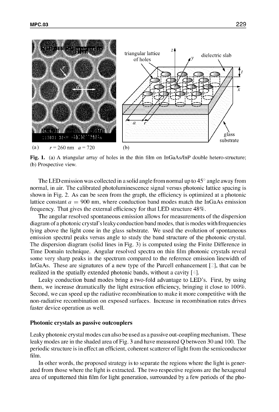

**Fig. 1.** (a) A triangular array of holes in the thin film on InGaAs/InP double hetero-structure; **(b)** Prospective view.

The LED emission was collected in a solid angle from normal up to  $45^{\circ}$  angle away from normal, in air. The calibrated photoluminescence signal versus photonic lattice spacing is shown in Fig. 2. As can be seen from the graph, the efficiency is optimized at a photonic lattice constant  $a = 900$  nm, where conduction band modes match the InGaAs emission frequency. That gives the external efficiency for that **LED** structure 48%.

The angular resolved spontaneous emission allows for measurements of the dispersion diagram of a photonic crystal's leaky conduction band modes, that is modes with frequencies lying above the light cone in the glass substrate. We used the evolution of spontaneous emission spectral peaks versus angle to study the band structure of the photonic crystal. The dispersion diagram (solid lines in Fig. **3)** is computed using the Finite Difference in Time Domain technique. Angular resolved spectra on thin film photonic crystals reveal some very sharp peaks in the spectrum compared to the reference emission linewidth of InGaAs. These are signatures of a new type of the Purcell enhancement  $[2]$ , that can be realized in the spatially extended photonic bands, without a cavity **[ 1.**

Leaky conduction band modes bring a two-fold advantage to LED's. First, **by** using them, we increase dramatically the light extraction efficiency, bringing it close to **100%.** Second, we can speed up the radiative recombination to make it more competitive with the non-radiative recombination on exposed surfaces. Increase in recombination rates drives faster device operation as well.

#### Photonic crystals **as passive outcouplers**

Leaky photonic crystal modes can also be used as a passive out-coupling mechanism. These leaky modes are in the shaded area of Fig. **3** and have measured **Q** between **30** and **100.** The periodic structure is in effect an efficient, coherent scatterer of light from the semiconductor **film.**

In other words, the proposed strategy is to separate the regions where the light is generated from those where the light is extracted. The two respective regions are the hexagonal area of unpatterned thin film for light generation, surrounded **by** a few periods of the pho-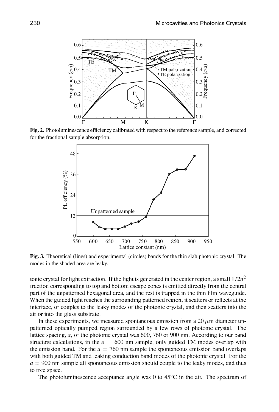

Fig. 2. Photoluminescence efficiency calibrated with respect to the reference sample, and corrected for the fractional sample absorption.



Fig. 3. Theoretical (lines) and experimental (circles) bands for the thin slab photonic crystal. The modes in the shaded area are leaky.

tonic crystal for light extraction. If the light is generated in the center region, a small  $1/2n^2$ fraction corresponding to top and bottom escape cones is emitted directly from the central part of the unpatterned hexagonal area, and the rest is trapped in the thin film waveguide. When the guided light reaches the surrounding patterned region, it scatters or reflects at the interface, or couples to the leaky modes of the photonic crystal, and then scatters into the air or into the glass substrate.

In these experiments, we measured spontaneous emission from a  $20 \mu m$  diameter unpatterned optically pumped region surrounded by a few rows of photonic crystal. The lattice spacing, a, of the photonic crystal was 600, 760 or 900 nm. According to our band structure calculations, in the  $a = 600$  nm sample, only guided TM modes overlap with the emission band. For the  $a = 760$  nm sample the spontaneous emission band overlaps with both guided TM and leaking conduction band modes of the photonic crystal. For the  $a = 900$  nm sample all spontaneous emission should couple to the leaky modes, and thus to free space.

The photoluminescence acceptance angle was 0 to  $45^{\circ}$ C in the air. The spectrum of